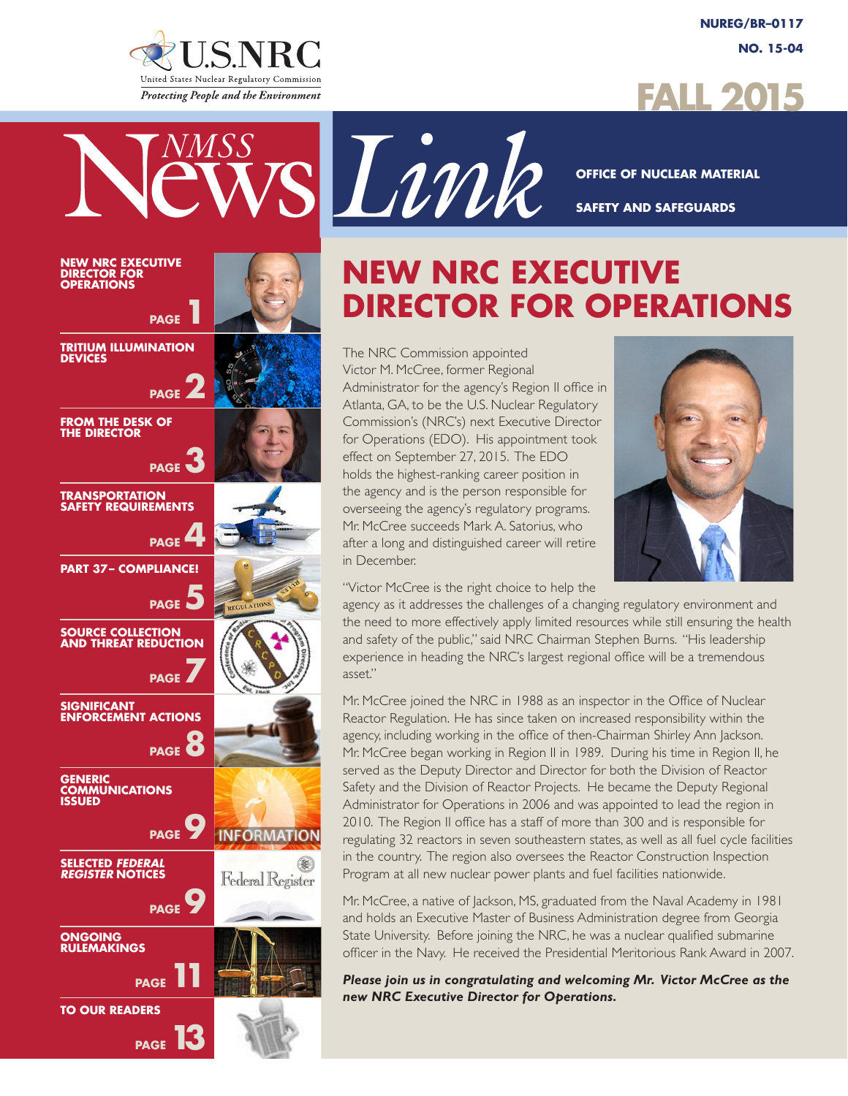

**NUREG/BR–0117 NO. 15-04**





**OFFICE OF NUCLEAR MATERIAL SAFETY AND SAFEGUARDS**

# **NEW NRC EXECUTIVE DIRECTOR FOR OPERATIONS**

The NRC Commission appointed Victor M. McCree, former Regional Administrator for the agency's Region II office in Atlanta, GA, to be the U.S. Nuclear Regulatory Commission's (NRC's) next Executive Director for Operations (EDO). His appointment took effect on September 27, 2015. The EDO holds the highest-ranking career position in the agency and is the person responsible for overseeing the agency's regulatory programs. Mr. McCree succeeds Mark A. Satorius, who after a long and distinguished career will retire in December.



"Victor McCree is the right choice to help the

agency as it addresses the challenges of a changing regulatory environment and the need to more effectively apply limited resources while still ensuring the health and safety of the public," said NRC Chairman Stephen Burns. "His leadership experience in heading the NRC's largest regional office will be a tremendous asset."

Mr. McCree joined the NRC in 1988 as an inspector in the Office of Nuclear Reactor Regulation. He has since taken on increased responsibility within the agency, including working in the office of then-Chairman Shirley Ann Jackson. Mr. McCree began working in Region II in 1989. During his time in Region II, he served as the Deputy Director and Director for both the Division of Reactor Safety and the Division of Reactor Projects. He became the Deputy Regional Administrator for Operations in 2006 and was appointed to lead the region in 2010. The Region II office has a staff of more than 300 and is responsible for regulating 32 reactors in seven southeastern states, as well as all fuel cycle facilities in the country. The region also oversees the Reactor Construction Inspection Program at all new nuclear power plants and fuel facilities nationwide.

Mr. McCree, a native of Jackson, MS, graduated from the Naval Academy in 1981 and holds an Executive Master of Business Administration degree from Georgia State University. Before joining the NRC, he was a nuclear qualified submarine officer in the Navy. He received the Presidential Meritorious Rank Award in 2007.

*Please join us in congratulating and welcoming Mr. Victor McCree as the new NRC Executive Director for Operations.*

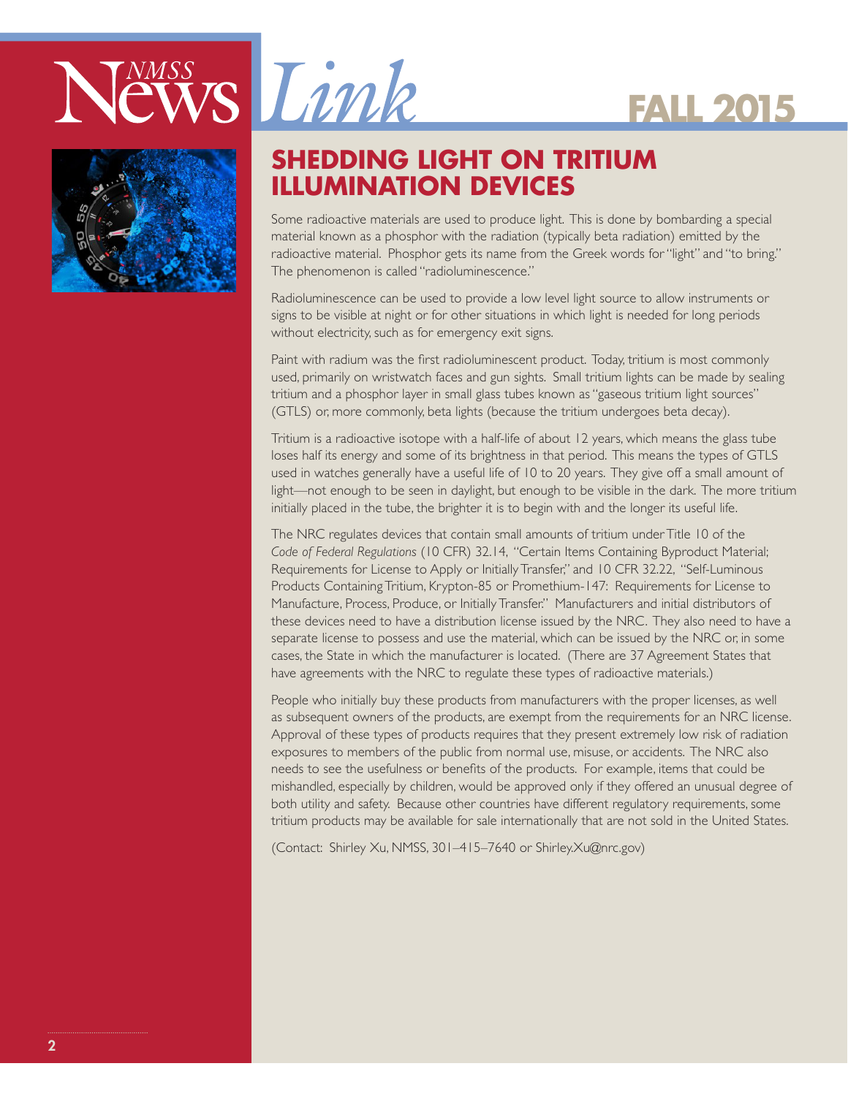





### **SHEDDING LIGHT ON TRITIUM ILLUMINATION DEVICES**

Some radioactive materials are used to produce light. This is done by bombarding a special material known as a phosphor with the radiation (typically beta radiation) emitted by the radioactive material. Phosphor gets its name from the Greek words for "light" and "to bring." The phenomenon is called "radioluminescence."

**FALL 2015**

Radioluminescence can be used to provide a low level light source to allow instruments or signs to be visible at night or for other situations in which light is needed for long periods without electricity, such as for emergency exit signs.

Paint with radium was the first radioluminescent product. Today, tritium is most commonly used, primarily on wristwatch faces and gun sights. Small tritium lights can be made by sealing tritium and a phosphor layer in small glass tubes known as "gaseous tritium light sources" (GTLS) or, more commonly, beta lights (because the tritium undergoes beta decay).

Tritium is a radioactive isotope with a half-life of about 12 years, which means the glass tube loses half its energy and some of its brightness in that period. This means the types of GTLS used in watches generally have a useful life of 10 to 20 years. They give off a small amount of light—not enough to be seen in daylight, but enough to be visible in the dark. The more tritium initially placed in the tube, the brighter it is to begin with and the longer its useful life.

The NRC regulates devices that contain small amounts of tritium under Title 10 of the *Code of Federal Regulations* (10 CFR) 32.14, "Certain Items Containing Byproduct Material; Requirements for License to Apply or Initially Transfer," and 10 CFR 32.22, "Self-Luminous Products Containing Tritium, Krypton-85 or Promethium-147: Requirements for License to Manufacture, Process, Produce, or Initially Transfer." Manufacturers and initial distributors of these devices need to have a distribution license issued by the NRC. They also need to have a separate license to possess and use the material, which can be issued by the NRC or, in some cases, the State in which the manufacturer is located. (There are 37 Agreement States that have agreements with the NRC to regulate these types of radioactive materials.)

People who initially buy these products from manufacturers with the proper licenses, as well as subsequent owners of the products, are exempt from the requirements for an NRC license. Approval of these types of products requires that they present extremely low risk of radiation exposures to members of the public from normal use, misuse, or accidents. The NRC also needs to see the usefulness or benefits of the products. For example, items that could be mishandled, especially by children, would be approved only if they offered an unusual degree of both utility and safety. Because other countries have different regulatory requirements, some tritium products may be available for sale internationally that are not sold in the United States.

(Contact: Shirley Xu, NMSS, 301–415–7640 or Shirley.Xu@nrc.gov)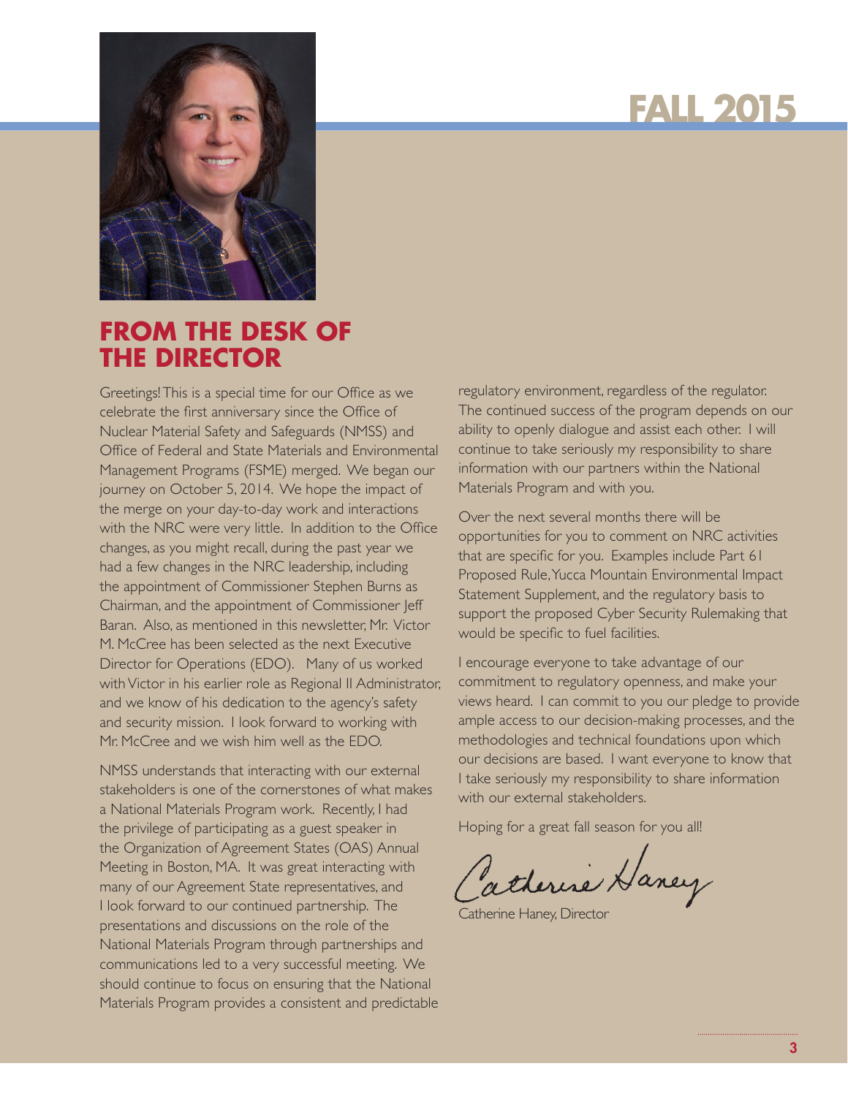

### **FROM THE DESK OF THE DIRECTOR**

Greetings! This is a special time for our Office as we celebrate the first anniversary since the Office of Nuclear Material Safety and Safeguards (NMSS) and Office of Federal and State Materials and Environmental Management Programs (FSME) merged. We began our journey on October 5, 2014. We hope the impact of the merge on your day-to-day work and interactions with the NRC were very little. In addition to the Office changes, as you might recall, during the past year we had a few changes in the NRC leadership, including the appointment of Commissioner Stephen Burns as Chairman, and the appointment of Commissioner Jeff Baran. Also, as mentioned in this newsletter, Mr. Victor M. McCree has been selected as the next Executive Director for Operations (EDO). Many of us worked with Victor in his earlier role as Regional II Administrator, and we know of his dedication to the agency's safety and security mission. I look forward to working with Mr. McCree and we wish him well as the EDO.

NMSS understands that interacting with our external stakeholders is one of the cornerstones of what makes a National Materials Program work. Recently, I had the privilege of participating as a guest speaker in the Organization of Agreement States (OAS) Annual Meeting in Boston, MA. It was great interacting with many of our Agreement State representatives, and I look forward to our continued partnership. The presentations and discussions on the role of the National Materials Program through partnerships and communications led to a very successful meeting. We should continue to focus on ensuring that the National Materials Program provides a consistent and predictable regulatory environment, regardless of the regulator. The continued success of the program depends on our ability to openly dialogue and assist each other. I will continue to take seriously my responsibility to share information with our partners within the National Materials Program and with you.

Over the next several months there will be opportunities for you to comment on NRC activities that are specific for you. Examples include Part 61 Proposed Rule, Yucca Mountain Environmental Impact Statement Supplement, and the regulatory basis to support the proposed Cyber Security Rulemaking that would be specific to fuel facilities.

I encourage everyone to take advantage of our commitment to regulatory openness, and make your views heard. I can commit to you our pledge to provide ample access to our decision-making processes, and the methodologies and technical foundations upon which our decisions are based. I want everyone to know that I take seriously my responsibility to share information with our external stakeholders.

Hoping for a great fall season for you all!

atherine Haney

Catherine Haney, Director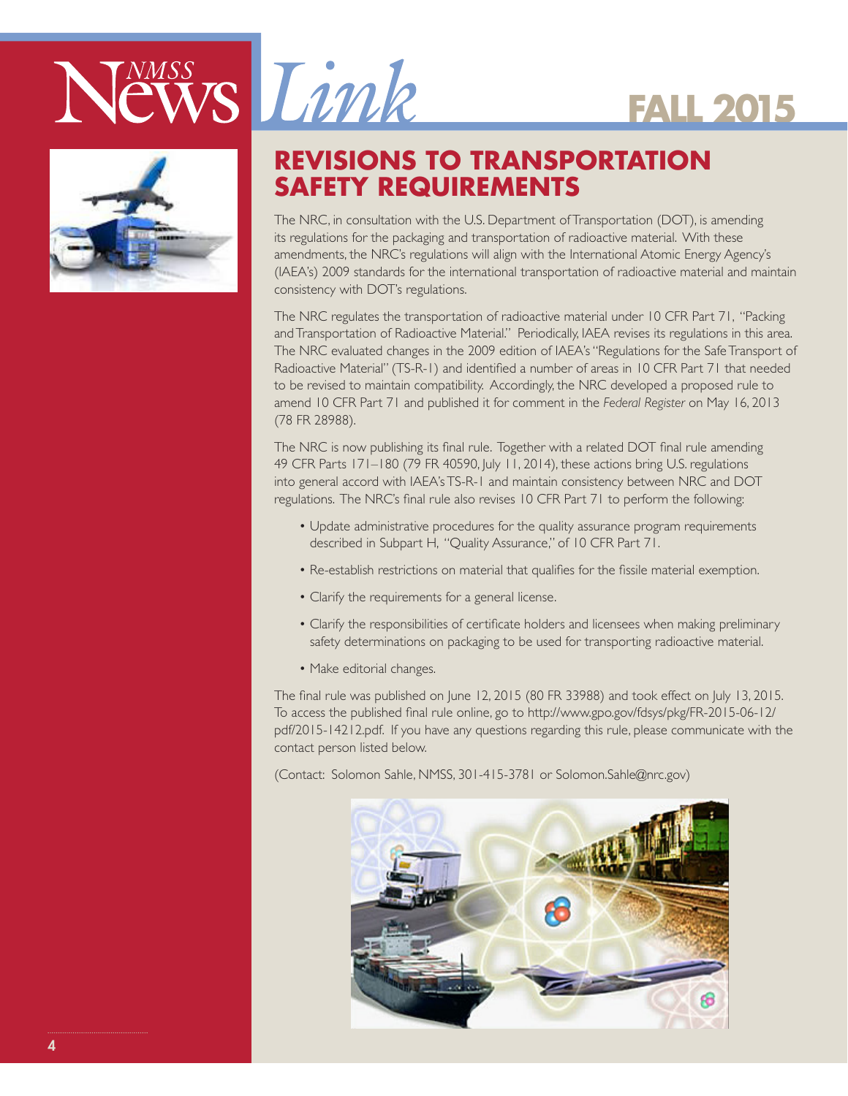



### **REVISIONS TO TRANSPORTATION SAFETY REQUIREMENTS**

The NRC, in consultation with the U.S. Department of Transportation (DOT), is amending its regulations for the packaging and transportation of radioactive material. With these amendments, the NRC's regulations will align with the International Atomic Energy Agency's (IAEA's) 2009 standards for the international transportation of radioactive material and maintain consistency with DOT's regulations.

**FALL 2015**

The NRC regulates the transportation of radioactive material under 10 CFR Part 71, "Packing and Transportation of Radioactive Material." Periodically, IAEA revises its regulations in this area. The NRC evaluated changes in the 2009 edition of IAEA's "Regulations for the Safe Transport of Radioactive Material" (TS-R-1) and identified a number of areas in 10 CFR Part 71 that needed to be revised to maintain compatibility. Accordingly, the NRC developed a proposed rule to amend 10 CFR Part 71 and published it for comment in the *Federal Register* on May 16, 2013 (78 FR 28988).

The NRC is now publishing its final rule. Together with a related DOT final rule amending 49 CFR Parts 171–180 (79 FR 40590, July 11, 2014), these actions bring U.S. regulations into general accord with IAEA's TS-R-1 and maintain consistency between NRC and DOT regulations. The NRC's final rule also revises 10 CFR Part 71 to perform the following:

- Update administrative procedures for the quality assurance program requirements described in Subpart H, "Quality Assurance," of 10 CFR Part 71.
- Re-establish restrictions on material that qualifies for the fissile material exemption.
- Clarify the requirements for a general license.
- Clarify the responsibilities of certificate holders and licensees when making preliminary safety determinations on packaging to be used for transporting radioactive material.
- Make editorial changes.

The final rule was published on June 12, 2015 (80 FR 33988) and took effect on July 13, 2015. To access the published final rule online, go to http://www.gpo.gov/fdsys/pkg/FR-2015-06-12/ pdf/2015-14212.pdf. If you have any questions regarding this rule, please communicate with the contact person listed below.

(Contact: Solomon Sahle, NMSS, 301-415-3781 or Solomon.Sahle@nrc.gov)

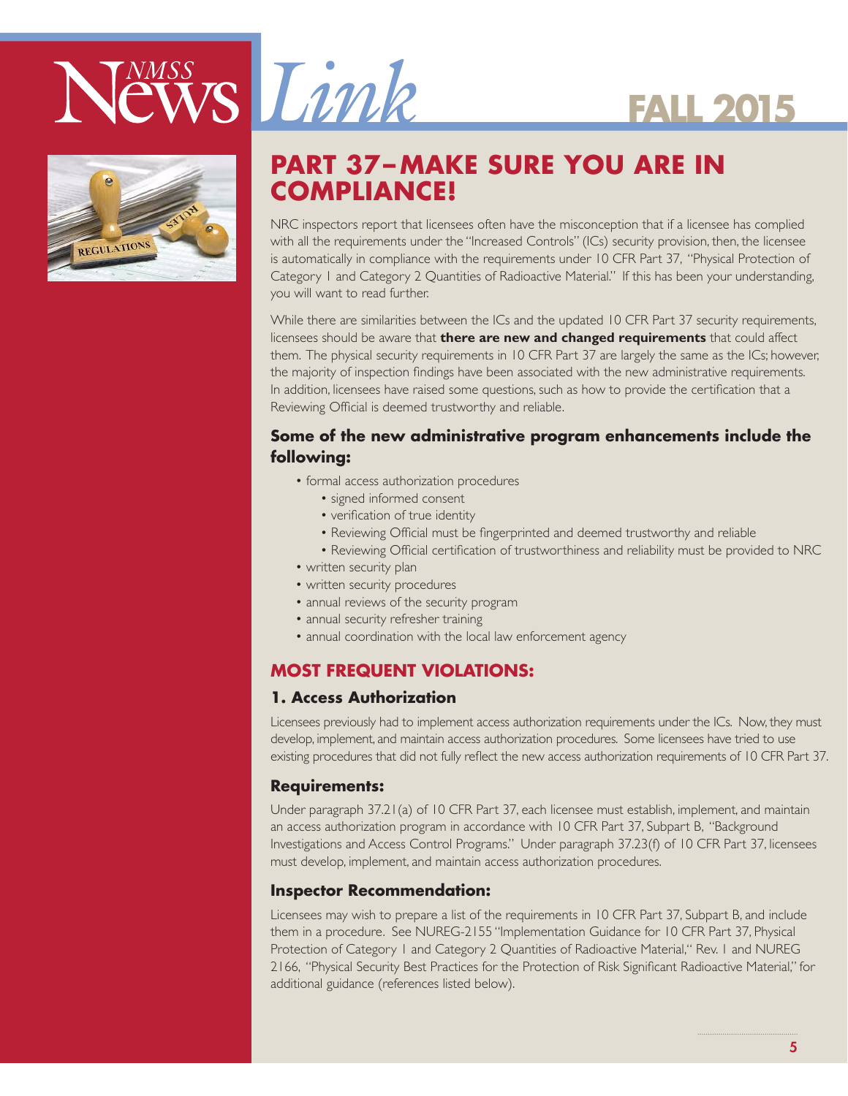

EGULATIONS



### **PART 37-MAKE SURE YOU ARE IN COMPLIANCE!**

NRC inspectors report that licensees often have the misconception that if a licensee has complied with all the requirements under the "Increased Controls" (ICs) security provision, then, the licensee is automatically in compliance with the requirements under 10 CFR Part 37, "Physical Protection of Category 1 and Category 2 Quantities of Radioactive Material." If this has been your understanding, you will want to read further.

**FALL 2015**

While there are similarities between the ICs and the updated 10 CFR Part 37 security requirements, licensees should be aware that **there are new and changed requirements** that could affect them. The physical security requirements in 10 CFR Part 37 are largely the same as the ICs; however, the majority of inspection findings have been associated with the new administrative requirements. In addition, licensees have raised some questions, such as how to provide the certification that a Reviewing Official is deemed trustworthy and reliable.

#### **Some of the new administrative program enhancements include the following:**

- formal access authorization procedures
	- signed informed consent
	- verification of true identity
	- Reviewing Official must be fingerprinted and deemed trustworthy and reliable
	- Reviewing Official certification of trustworthiness and reliability must be provided to NRC
- written security plan
- written security procedures
- annual reviews of the security program
- annual security refresher training
- annual coordination with the local law enforcement agency

#### **MOST FREQUENT VIOLATIONS:**

#### **1. Access Authorization**

Licensees previously had to implement access authorization requirements under the ICs. Now, they must develop, implement, and maintain access authorization procedures. Some licensees have tried to use existing procedures that did not fully reflect the new access authorization requirements of 10 CFR Part 37.

#### **Requirements:**

Under paragraph 37.21(a) of 10 CFR Part 37, each licensee must establish, implement, and maintain an access authorization program in accordance with 10 CFR Part 37, Subpart B, "Background Investigations and Access Control Programs." Under paragraph 37.23(f) of 10 CFR Part 37, licensees must develop, implement, and maintain access authorization procedures.

#### **Inspector Recommendation:**

Licensees may wish to prepare a list of the requirements in 10 CFR Part 37, Subpart B, and include them in a procedure. See NUREG-2155 "Implementation Guidance for 10 CFR Part 37, Physical Protection of Category 1 and Category 2 Quantities of Radioactive Material," Rev. 1 and NUREG 2166, "Physical Security Best Practices for the Protection of Risk Significant Radioactive Material," for additional guidance (references listed below).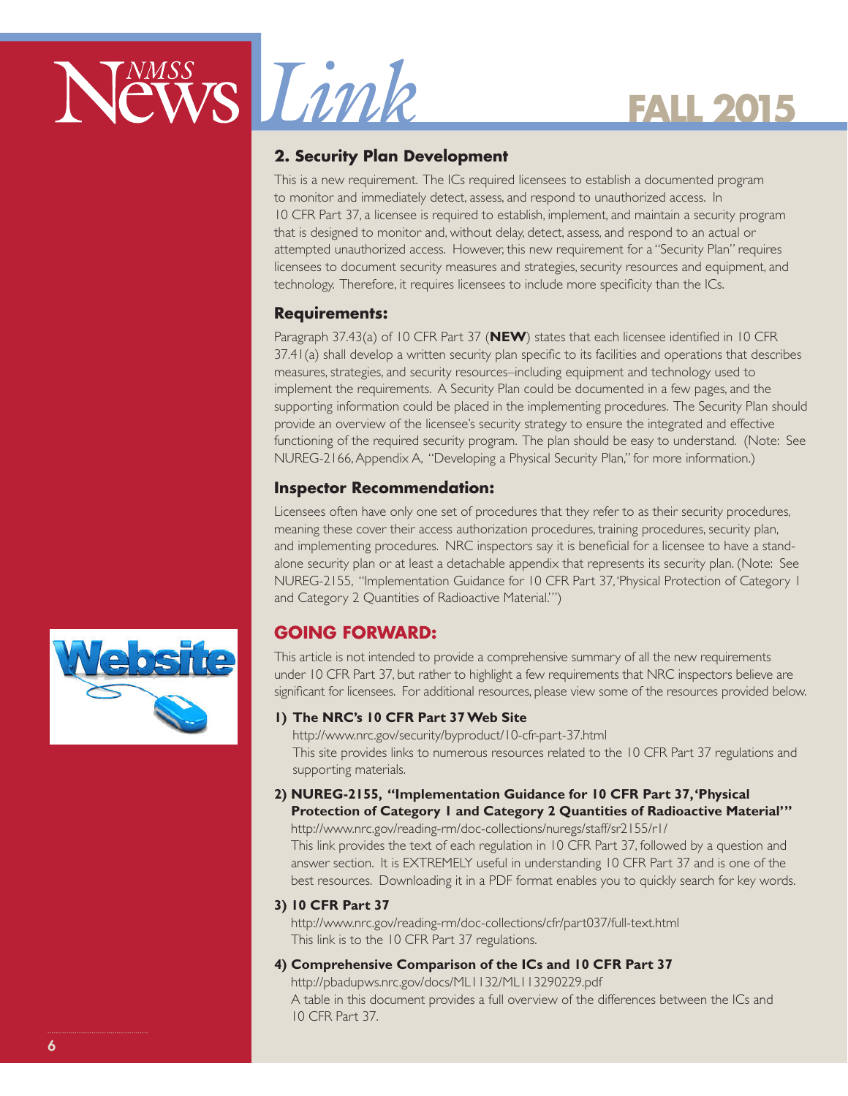# News Limk



#### **2. Security Plan Development**

This is a new requirement. The ICs required licensees to establish a documented program to monitor and immediately detect, assess, and respond to unauthorized access. In 10 CFR Part 37, a licensee is required to establish, implement, and maintain a security program that is designed to monitor and, without delay, detect, assess, and respond to an actual or attempted unauthorized access. However, this new requirement for a "Security Plan" requires licensees to document security measures and strategies, security resources and equipment, and technology. Therefore, it requires licensees to include more specificity than the ICs.

#### **Requirements:**

Paragraph 37.43(a) of 10 CFR Part 37 (**NEW**) states that each licensee identified in 10 CFR 37.41(a) shall develop a written security plan specific to its facilities and operations that describes measures, strategies, and security resources–including equipment and technology used to implement the requirements. A Security Plan could be documented in a few pages, and the supporting information could be placed in the implementing procedures. The Security Plan should provide an overview of the licensee's security strategy to ensure the integrated and effective functioning of the required security program. The plan should be easy to understand. (Note: See NUREG-2166, Appendix A, "Developing a Physical Security Plan," for more information.)

#### **Inspector Recommendation:**

Licensees often have only one set of procedures that they refer to as their security procedures, meaning these cover their access authorization procedures, training procedures, security plan, and implementing procedures. NRC inspectors say it is beneficial for a licensee to have a standalone security plan or at least a detachable appendix that represents its security plan. (Note: See NUREG-2155, "Implementation Guidance for 10 CFR Part 37, 'Physical Protection of Category 1 and Category 2 Quantities of Radioactive Material.'")

#### **GOING FORWARD:**

This article is not intended to provide a comprehensive summary of all the new requirements under 10 CFR Part 37, but rather to highlight a few requirements that NRC inspectors believe are significant for licensees. For additional resources, please view some of the resources provided below.

#### **1) The NRC's 10 CFR Part 37 Web Site**

http://www.nrc.gov/security/byproduct/10-cfr-part-37.html This site provides links to numerous resources related to the 10 CFR Part 37 regulations and supporting materials.

**2) NUREG-2155, "Implementation Guidance for 10 CFR Part 37, 'Physical Protection of Category 1 and Category 2 Quantities of Radioactive Material'"**

http://www.nrc.gov/reading-rm/doc-collections/nuregs/staff/sr2155/r1/ This link provides the text of each regulation in 10 CFR Part 37, followed by a question and answer section. It is EXTREMELY useful in understanding 10 CFR Part 37 and is one of the best resources. Downloading it in a PDF format enables you to quickly search for key words.

#### **3) 10 CFR Part 37**

http://www.nrc.gov/reading-rm/doc-collections/cfr/part037/full-text.html This link is to the 10 CFR Part 37 regulations.

#### **4) Comprehensive Comparison of the ICs and 10 CFR Part 37**

http://pbadupws.nrc.gov/docs/ML1132/ML113290229.pdf A table in this document provides a full overview of the differences between the ICs and 10 CFR Part 37.

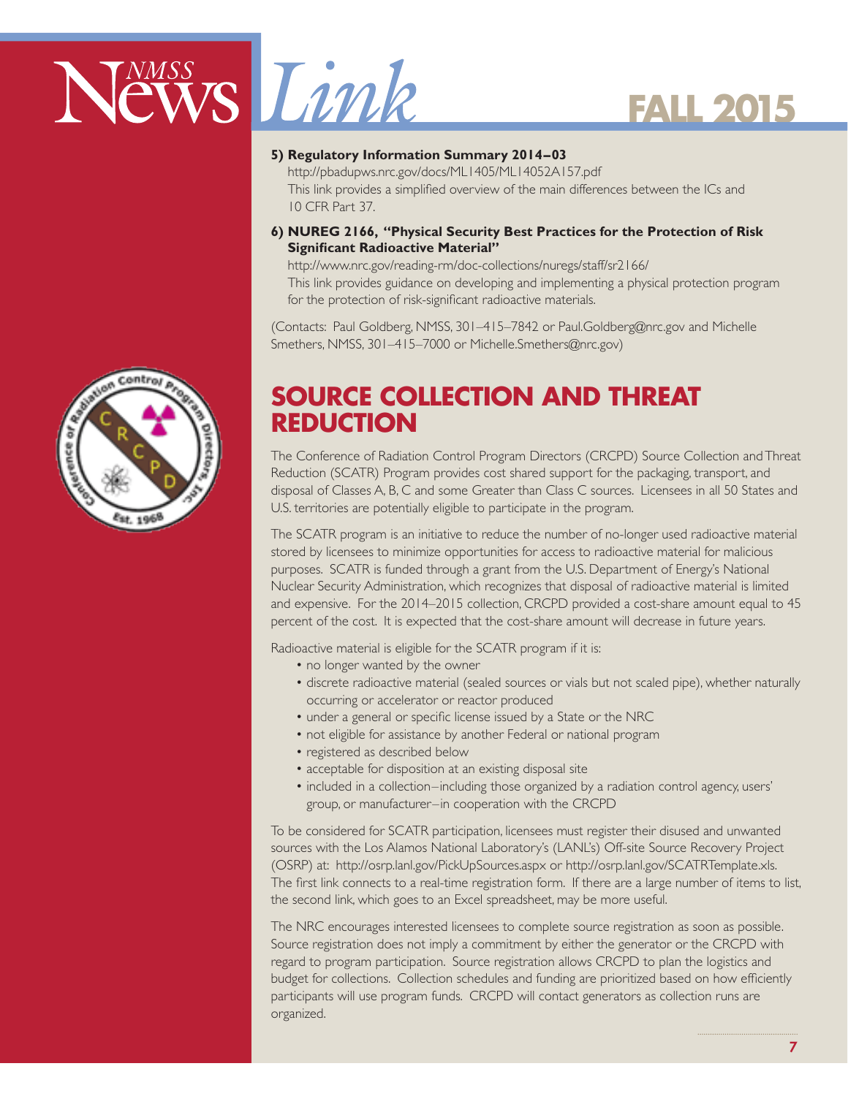

#### **5) Regulatory Information Summary 2014–03**

http://pbadupws.nrc.gov/docs/ML1405/ML14052A157.pdf This link provides a simplified overview of the main differences between the ICs and 10 CFR Part 37.

**6) NUREG 2166, "Physical Security Best Practices for the Protection of Risk Significant Radioactive Material"**

http://www.nrc.gov/reading-rm/doc-collections/nuregs/staff/sr2166/ This link provides guidance on developing and implementing a physical protection program for the protection of risk-significant radioactive materials.

(Contacts: Paul Goldberg, NMSS, 301–415–7842 or Paul.Goldberg@nrc.gov and Michelle Smethers, NMSS, 301–415–7000 or Michelle.Smethers@nrc.gov)

### **SOURCE COLLECTION AND THREAT REDUCTION**

The Conference of Radiation Control Program Directors (CRCPD) Source Collection and Threat Reduction (SCATR) Program provides cost shared support for the packaging, transport, and disposal of Classes A, B, C and some Greater than Class C sources. Licensees in all 50 States and U.S. territories are potentially eligible to participate in the program.

The SCATR program is an initiative to reduce the number of no-longer used radioactive material stored by licensees to minimize opportunities for access to radioactive material for malicious purposes. SCATR is funded through a grant from the U.S. Department of Energy's National Nuclear Security Administration, which recognizes that disposal of radioactive material is limited and expensive. For the 2014–2015 collection, CRCPD provided a cost-share amount equal to 45 percent of the cost. It is expected that the cost-share amount will decrease in future years.

Radioactive material is eligible for the SCATR program if it is:

- no longer wanted by the owner
- discrete radioactive material (sealed sources or vials but not scaled pipe), whether naturally occurring or accelerator or reactor produced
- under a general or specific license issued by a State or the NRC
- not eligible for assistance by another Federal or national program
- registered as described below
- acceptable for disposition at an existing disposal site
- included in a collection–including those organized by a radiation control agency, users' group, or manufacturer–in cooperation with the CRCPD

To be considered for SCATR participation, licensees must register their disused and unwanted sources with the Los Alamos National Laboratory's (LANL's) Off-site Source Recovery Project (OSRP) at: http://osrp.lanl.gov/PickUpSources.aspx or http://osrp.lanl.gov/SCATRTemplate.xls. The first link connects to a real-time registration form. If there are a large number of items to list, the second link, which goes to an Excel spreadsheet, may be more useful.

The NRC encourages interested licensees to complete source registration as soon as possible. Source registration does not imply a commitment by either the generator or the CRCPD with regard to program participation. Source registration allows CRCPD to plan the logistics and budget for collections. Collection schedules and funding are prioritized based on how efficiently participants will use program funds. CRCPD will contact generators as collection runs are organized.

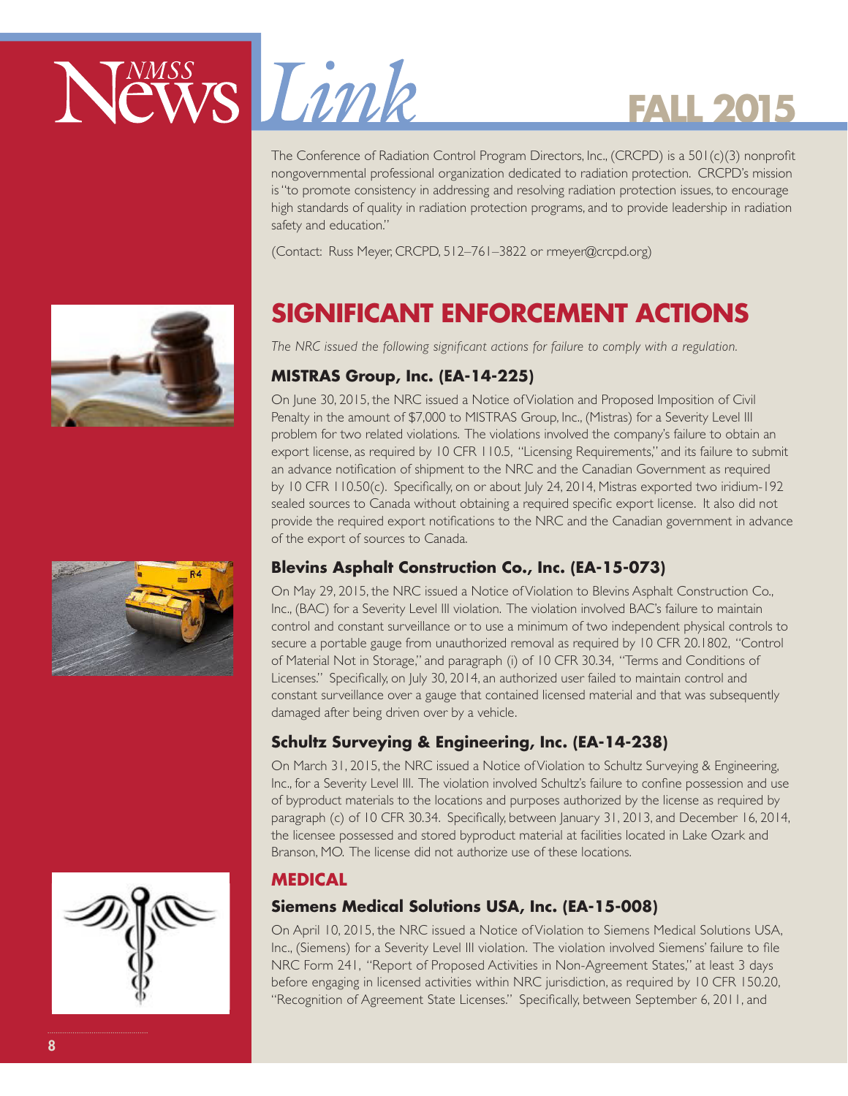

The Conference of Radiation Control Program Directors, Inc., (CRCPD) is a 501(c)(3) nonprofit nongovernmental professional organization dedicated to radiation protection. CRCPD's mission is "to promote consistency in addressing and resolving radiation protection issues, to encourage high standards of quality in radiation protection programs, and to provide leadership in radiation safety and education."

(Contact: Russ Meyer, CRCPD, 512–761–3822 or rmeyer@crcpd.org)

# **SIGNIFICANT ENFORCEMENT ACTIONS**

*The NRC issued the following significant actions for failure to comply with a regulation.*

#### **MISTRAS Group, Inc. (EA-14-225)**

On June 30, 2015, the NRC issued a Notice of Violation and Proposed Imposition of Civil Penalty in the amount of \$7,000 to MISTRAS Group, Inc., (Mistras) for a Severity Level III problem for two related violations. The violations involved the company's failure to obtain an export license, as required by 10 CFR 110.5, "Licensing Requirements," and its failure to submit an advance notification of shipment to the NRC and the Canadian Government as required by 10 CFR 110.50(c). Specifically, on or about July 24, 2014, Mistras exported two iridium-192 sealed sources to Canada without obtaining a required specific export license. It also did not provide the required export notifications to the NRC and the Canadian government in advance of the export of sources to Canada.

#### **Blevins Asphalt Construction Co., Inc. (EA-15-073)**

On May 29, 2015, the NRC issued a Notice of Violation to Blevins Asphalt Construction Co., Inc., (BAC) for a Severity Level III violation. The violation involved BAC's failure to maintain control and constant surveillance or to use a minimum of two independent physical controls to secure a portable gauge from unauthorized removal as required by 10 CFR 20.1802, "Control of Material Not in Storage," and paragraph (i) of 10 CFR 30.34, "Terms and Conditions of Licenses." Specifically, on July 30, 2014, an authorized user failed to maintain control and constant surveillance over a gauge that contained licensed material and that was subsequently damaged after being driven over by a vehicle.

#### **Schultz Surveying & Engineering, Inc. (EA-14-238)**

On March 31, 2015, the NRC issued a Notice of Violation to Schultz Surveying & Engineering, Inc., for a Severity Level III. The violation involved Schultz's failure to confine possession and use of byproduct materials to the locations and purposes authorized by the license as required by paragraph (c) of 10 CFR 30.34. Specifically, between January 31, 2013, and December 16, 2014, the licensee possessed and stored byproduct material at facilities located in Lake Ozark and Branson, MO. The license did not authorize use of these locations.

#### **MEDICAL**

#### **Siemens Medical Solutions USA, Inc. (EA-15-008)**

On April 10, 2015, the NRC issued a Notice of Violation to Siemens Medical Solutions USA, Inc., (Siemens) for a Severity Level III violation. The violation involved Siemens' failure to file NRC Form 241, "Report of Proposed Activities in Non-Agreement States," at least 3 days before engaging in licensed activities within NRC jurisdiction, as required by 10 CFR 150.20, "Recognition of Agreement State Licenses." Specifically, between September 6, 2011, and





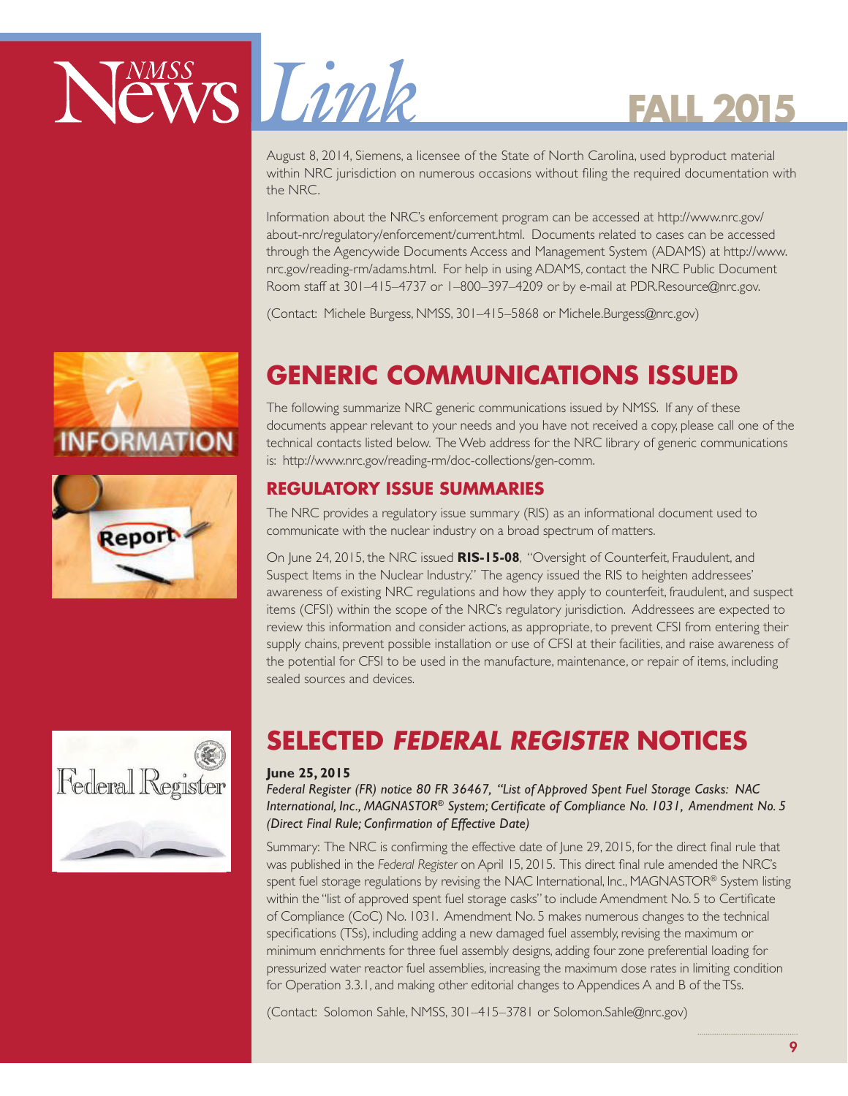



August 8, 2014, Siemens, a licensee of the State of North Carolina, used byproduct material within NRC jurisdiction on numerous occasions without filing the required documentation with the NRC.

Information about the NRC's enforcement program can be accessed at http://www.nrc.gov/ about-nrc/regulatory/enforcement/current.html. Documents related to cases can be accessed through the Agencywide Documents Access and Management System (ADAMS) at http://www. nrc.gov/reading-rm/adams.html. For help in using ADAMS, contact the NRC Public Document Room staff at 301–415–4737 or 1–800–397–4209 or by e-mail at PDR.Resource@nrc.gov.

(Contact: Michele Burgess, NMSS, 301–415–5868 or Michele.Burgess@nrc.gov)







# **GENERIC COMMUNICATIONS ISSUED**

The following summarize NRC generic communications issued by NMSS. If any of these documents appear relevant to your needs and you have not received a copy, please call one of the technical contacts listed below. The Web address for the NRC library of generic communications is: http://www.nrc.gov/reading-rm/doc-collections/gen-comm.

#### **REGULATORY ISSUE SUMMARIES**

The NRC provides a regulatory issue summary (RIS) as an informational document used to communicate with the nuclear industry on a broad spectrum of matters.

On June 24, 2015, the NRC issued **RIS-15-08**, "Oversight of Counterfeit, Fraudulent, and Suspect Items in the Nuclear Industry." The agency issued the RIS to heighten addressees' awareness of existing NRC regulations and how they apply to counterfeit, fraudulent, and suspect items (CFSI) within the scope of the NRC's regulatory jurisdiction. Addressees are expected to review this information and consider actions, as appropriate, to prevent CFSI from entering their supply chains, prevent possible installation or use of CFSI at their facilities, and raise awareness of the potential for CFSI to be used in the manufacture, maintenance, or repair of items, including sealed sources and devices.

# **SELECTED** *FEDERAL REGISTER* **NOTICES**

#### **June 25, 2015**

*Federal Register (FR) notice 80 FR 36467, "List of Approved Spent Fuel Storage Casks: NAC International, Inc., MAGNASTOR® System; Certificate of Compliance No. 1031, Amendment No. 5 (Direct Final Rule; Confirmation of Effective Date)* 

Summary: The NRC is confirming the effective date of June 29, 2015, for the direct final rule that was published in the *Federal Register* on April 15, 2015. This direct final rule amended the NRC's spent fuel storage regulations by revising the NAC International, Inc., MAGNASTOR® System listing within the ''list of approved spent fuel storage casks'' to include Amendment No. 5 to Certificate of Compliance (CoC) No. 1031. Amendment No. 5 makes numerous changes to the technical specifications (TSs), including adding a new damaged fuel assembly, revising the maximum or minimum enrichments for three fuel assembly designs, adding four zone preferential loading for pressurized water reactor fuel assemblies, increasing the maximum dose rates in limiting condition for Operation 3.3.1, and making other editorial changes to Appendices A and B of the TSs.

(Contact: Solomon Sahle, NMSS, 301–415–3781 or Solomon.Sahle@nrc.gov)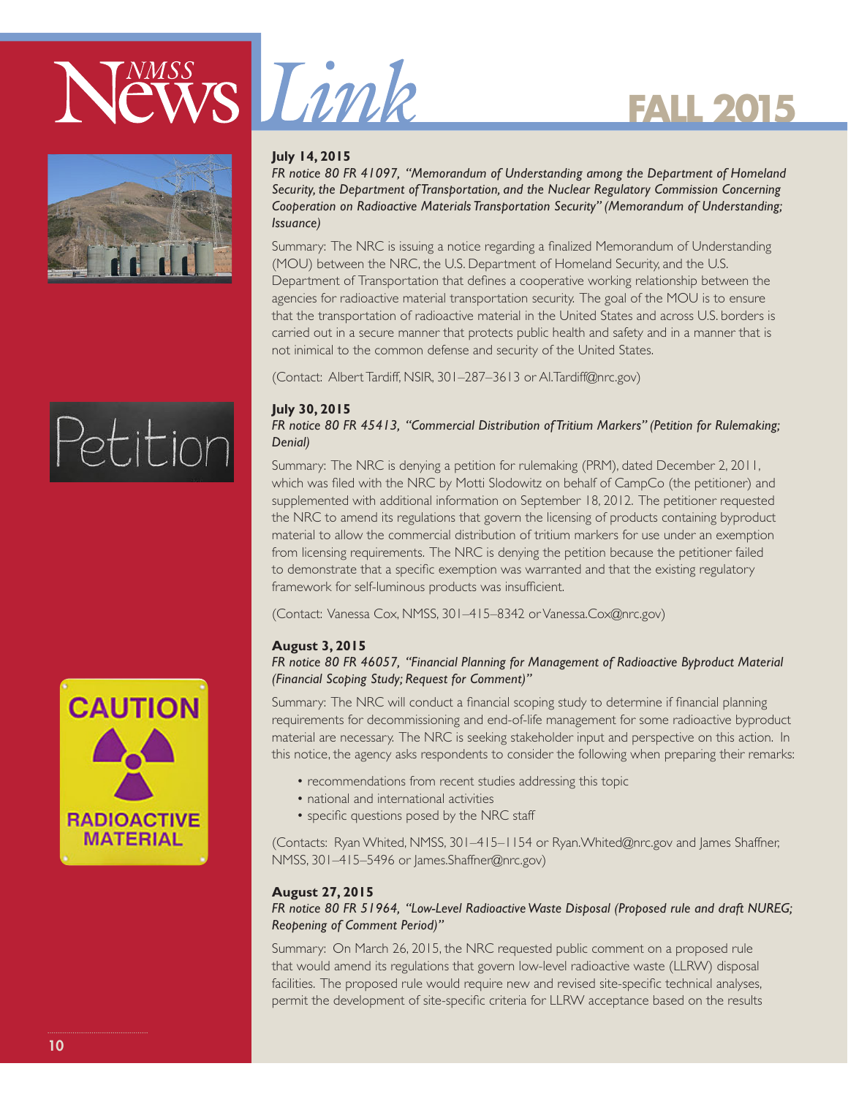





#### **July 14, 2015**

*FR notice 80 FR 41097, "Memorandum of Understanding among the Department of Homeland Security, the Department of Transportation, and the Nuclear Regulatory Commission Concerning Cooperation on Radioactive Materials Transportation Security" (Memorandum of Understanding; Issuance)*

Summary: The NRC is issuing a notice regarding a finalized Memorandum of Understanding (MOU) between the NRC, the U.S. Department of Homeland Security, and the U.S. Department of Transportation that defines a cooperative working relationship between the agencies for radioactive material transportation security. The goal of the MOU is to ensure that the transportation of radioactive material in the United States and across U.S. borders is carried out in a secure manner that protects public health and safety and in a manner that is not inimical to the common defense and security of the United States.

(Contact: Albert Tardiff, NSIR, 301–287–3613 or Al.Tardiff@nrc.gov)

#### **July 30, 2015**

*FR notice 80 FR 45413, "Commercial Distribution of Tritium Markers" (Petition for Rulemaking; Denial)*

Summary: The NRC is denying a petition for rulemaking (PRM), dated December 2, 2011, which was filed with the NRC by Motti Slodowitz on behalf of CampCo (the petitioner) and supplemented with additional information on September 18, 2012. The petitioner requested the NRC to amend its regulations that govern the licensing of products containing byproduct material to allow the commercial distribution of tritium markers for use under an exemption from licensing requirements. The NRC is denying the petition because the petitioner failed to demonstrate that a specific exemption was warranted and that the existing regulatory framework for self-luminous products was insufficient.

(Contact: Vanessa Cox, NMSS, 301–415–8342 or Vanessa.Cox@nrc.gov)

#### **August 3, 2015**

#### *FR notice 80 FR 46057, "Financial Planning for Management of Radioactive Byproduct Material (Financial Scoping Study; Request for Comment)"*

Summary: The NRC will conduct a financial scoping study to determine if financial planning requirements for decommissioning and end-of-life management for some radioactive byproduct material are necessary. The NRC is seeking stakeholder input and perspective on this action. In this notice, the agency asks respondents to consider the following when preparing their remarks:

- recommendations from recent studies addressing this topic
- national and international activities
- specific questions posed by the NRC staff

(Contacts: Ryan Whited, NMSS, 301–415–1154 or Ryan.Whited@nrc.gov and James Shaffner, NMSS, 301–415–5496 or James.Shaffner@nrc.gov)

#### **August 27, 2015**

#### *FR notice 80 FR 51964, "Low-Level Radioactive Waste Disposal (Proposed rule and draft NUREG; Reopening of Comment Period)"*

Summary: On March 26, 2015, the NRC requested public comment on a proposed rule that would amend its regulations that govern low-level radioactive waste (LLRW) disposal facilities. The proposed rule would require new and revised site-specific technical analyses, permit the development of site-specific criteria for LLRW acceptance based on the results



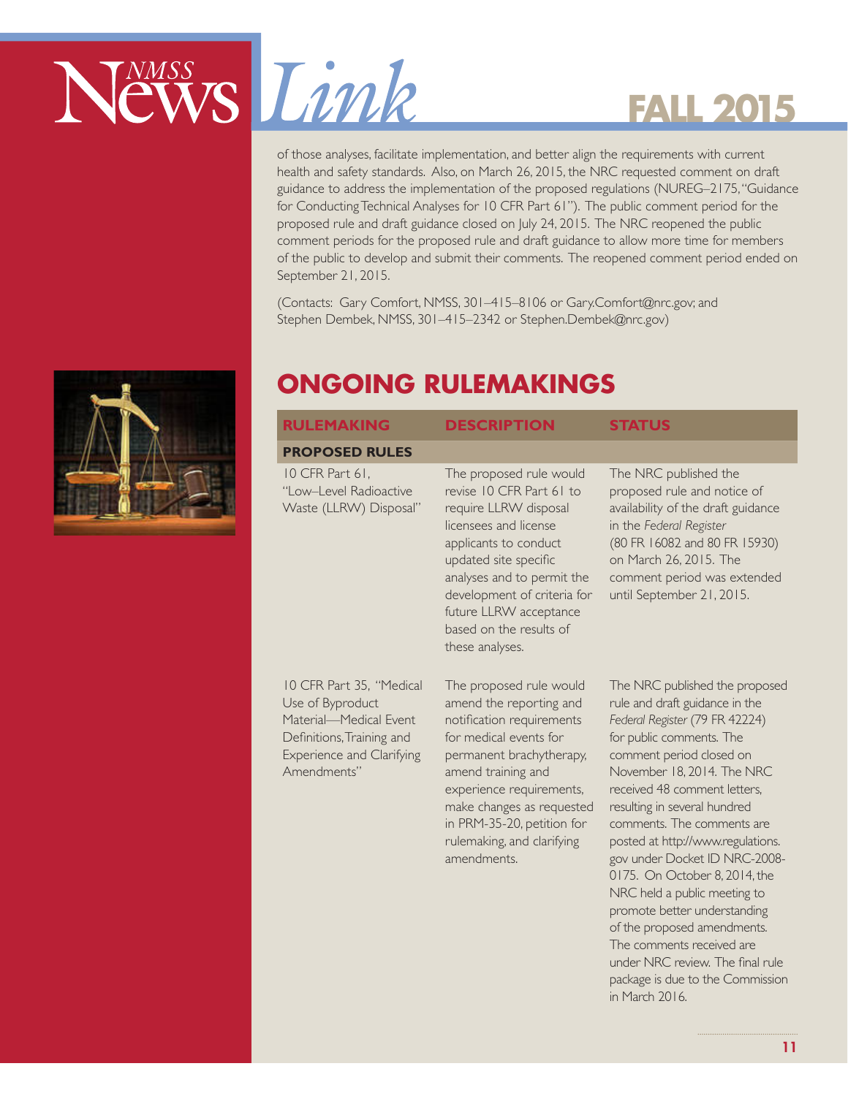

of those analyses, facilitate implementation, and better align the requirements with current health and safety standards. Also, on March 26, 2015, the NRC requested comment on draft guidance to address the implementation of the proposed regulations (NUREG–2175, ''Guidance for Conducting Technical Analyses for 10 CFR Part 61''). The public comment period for the proposed rule and draft guidance closed on July 24, 2015. The NRC reopened the public comment periods for the proposed rule and draft guidance to allow more time for members of the public to develop and submit their comments. The reopened comment period ended on September 21, 2015.

(Contacts: Gary Comfort, NMSS, 301–415–8106 or Gary.Comfort@nrc.gov; and Stephen Dembek, NMSS, 301–415–2342 or Stephen.Dembek@nrc.gov)



# **ONGOING RULEMAKINGS**

| <b>RULEMAKING</b>                                                                                                                               | <b>DESCRIPTION</b>                                                                                                                                                                                                                                                                              | <b>STATUS</b>                                                                                                                                                                                                                                                                                                                                                                                                                                                                                                                                                 |
|-------------------------------------------------------------------------------------------------------------------------------------------------|-------------------------------------------------------------------------------------------------------------------------------------------------------------------------------------------------------------------------------------------------------------------------------------------------|---------------------------------------------------------------------------------------------------------------------------------------------------------------------------------------------------------------------------------------------------------------------------------------------------------------------------------------------------------------------------------------------------------------------------------------------------------------------------------------------------------------------------------------------------------------|
| <b>PROPOSED RULES</b>                                                                                                                           |                                                                                                                                                                                                                                                                                                 |                                                                                                                                                                                                                                                                                                                                                                                                                                                                                                                                                               |
| 10 CFR Part 61,<br>"Low-Level Radioactive<br>Waste (LLRW) Disposal"                                                                             | The proposed rule would<br>revise 10 CFR Part 61 to<br>require LLRW disposal<br>licensees and license<br>applicants to conduct<br>updated site specific<br>analyses and to permit the<br>development of criteria for<br>future LLRW acceptance<br>based on the results of<br>these analyses.    | The NRC published the<br>proposed rule and notice of<br>availability of the draft guidance<br>in the Federal Register<br>(80 FR 16082 and 80 FR 15930)<br>on March 26, 2015. The<br>comment period was extended<br>until September 21, 2015.                                                                                                                                                                                                                                                                                                                  |
| 10 CFR Part 35, "Medical<br>Use of Byproduct<br>Material-Medical Event<br>Definitions, Training and<br>Experience and Clarifying<br>Amendments" | The proposed rule would<br>amend the reporting and<br>notification requirements<br>for medical events for<br>permanent brachytherapy,<br>amend training and<br>experience requirements,<br>make changes as requested<br>in PRM-35-20, petition for<br>rulemaking, and clarifying<br>amendments. | The NRC published the proposed<br>rule and draft guidance in the<br>Federal Register (79 FR 42224)<br>for public comments. The<br>comment period closed on<br>November 18, 2014. The NRC<br>received 48 comment letters,<br>resulting in several hundred<br>comments. The comments are<br>posted at http://www.regulations.<br>gov under Docket ID NRC-2008-<br>0175. On October 8, 2014, the<br>NRC held a public meeting to<br>promote better understanding<br>of the proposed amendments.<br>The comments received are<br>under NRC review. The final rule |

package is due to the Commission

in March 2016.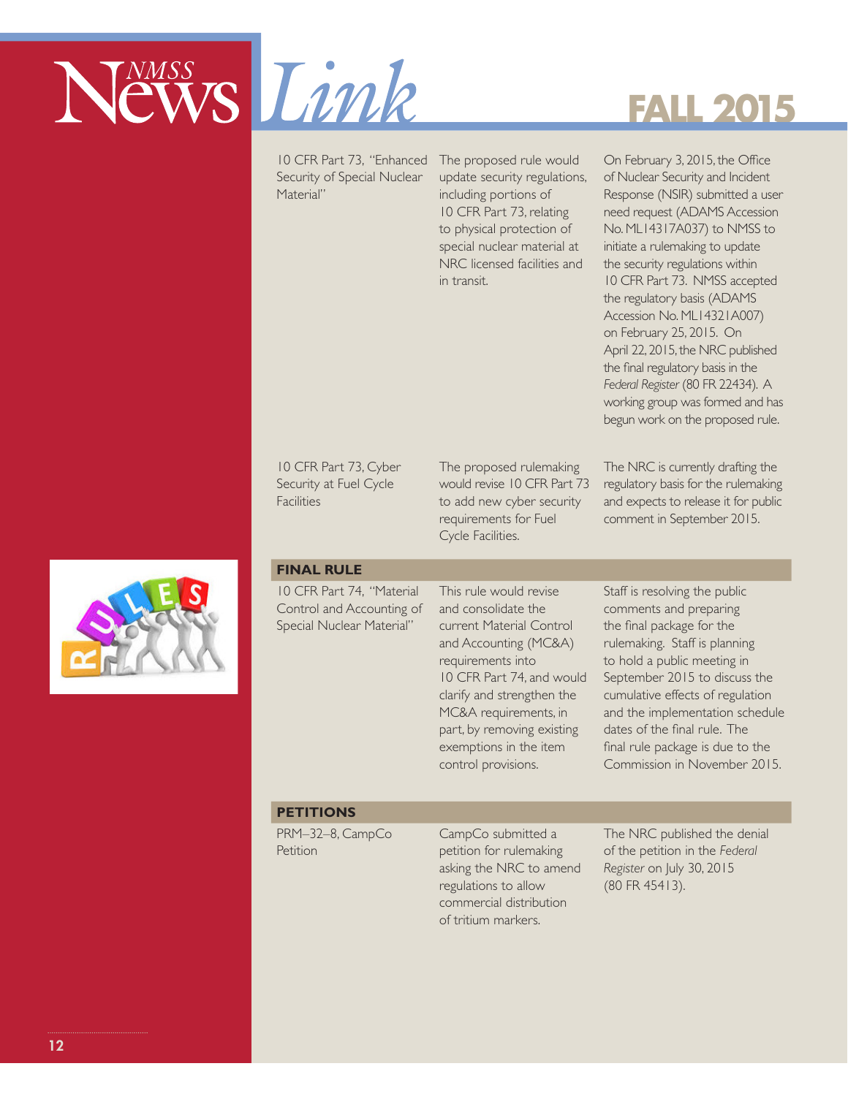



10 CFR Part 73, "Enhanced Security of Special Nuclear Material"

The proposed rule would update security regulations, including portions of 10 CFR Part 73, relating to physical protection of special nuclear material at NRC licensed facilities and in transit.

**FALL 2015**

| On February 3, 2015, the Office   |  |  |
|-----------------------------------|--|--|
| of Nuclear Security and Incident  |  |  |
| Response (NSIR) submitted a user  |  |  |
| need request (ADAMS Accession     |  |  |
| No. ML14317A037) to NMSS to       |  |  |
| initiate a rulemaking to update   |  |  |
| the security regulations within   |  |  |
| 10 CFR Part 73. NMSS accepted     |  |  |
| the regulatory basis (ADAMS       |  |  |
| Accession No. ML14321A007)        |  |  |
| on February 25, 2015. On          |  |  |
| April 22, 2015, the NRC published |  |  |
| the final regulatory basis in the |  |  |
| Federal Register (80 FR 22434). A |  |  |
| working group was formed and has  |  |  |
| begun work on the proposed rule.  |  |  |
|                                   |  |  |
|                                   |  |  |
| The NRC is currently drafting the |  |  |
| $\blacksquare$                    |  |  |

The proposed rulemaking would revise 10 CFR Part 73 to add new cyber security requirements for Fuel Cycle Facilities.

regulatory basis for the rulemaking and expects to release it for public comment in September 2015.

#### **FINAL RULE**

**Facilities** 

10 CFR Part 74, "Material Control and Accounting of Special Nuclear Material"

10 CFR Part 73, Cyber Security at Fuel Cycle

> This rule would revise and consolidate the current Material Control and Accounting (MC&A) requirements into 10 CFR Part 74, and would clarify and strengthen the MC&A requirements, in part, by removing existing exemptions in the item control provisions.

Staff is resolving the public comments and preparing the final package for the rulemaking. Staff is planning to hold a public meeting in September 2015 to discuss the cumulative effects of regulation and the implementation schedule dates of the final rule. The final rule package is due to the Commission in November 2015.

#### **PETITIONS**

**Petition** 

PRM–32–8, CampCo CampCo submitted a petition for rulemaking asking the NRC to amend regulations to allow commercial distribution of tritium markers.

The NRC published the denial of the petition in the *Federal Register* on July 30, 2015 (80 FR 45413).

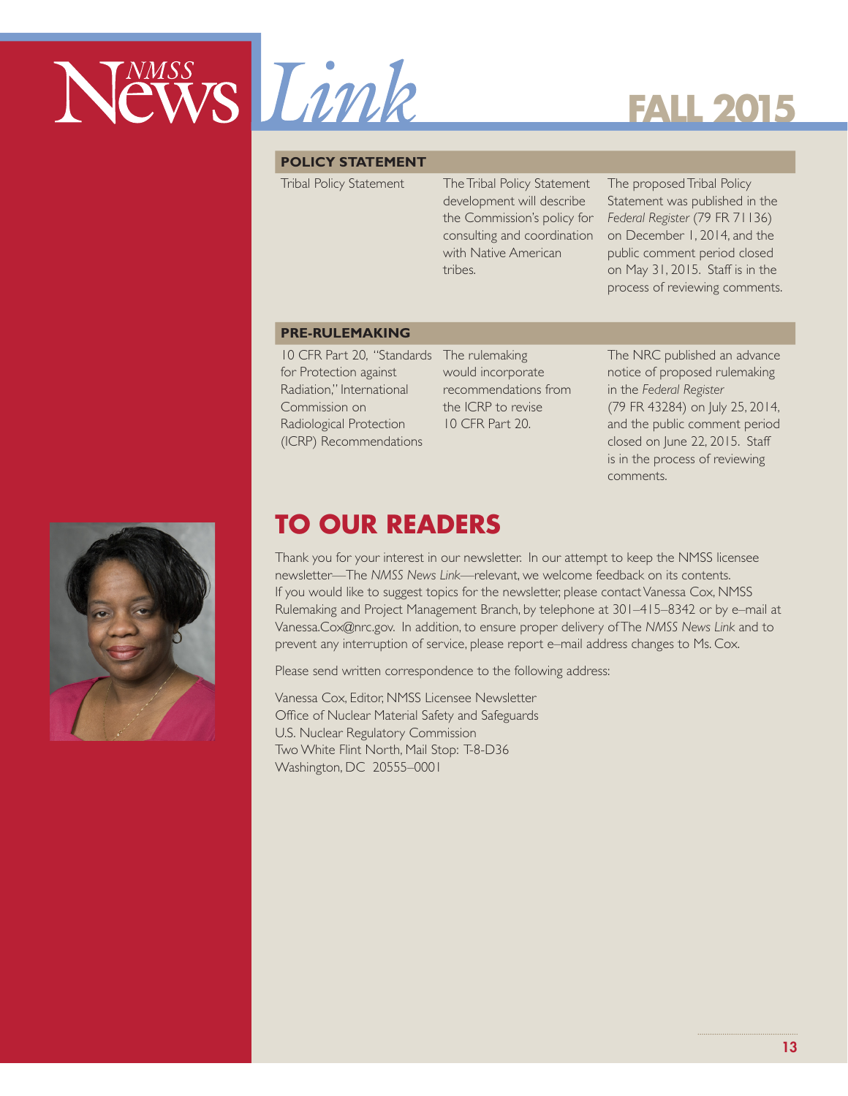

#### **POLICY STATEMENT**

Tribal Policy Statement The Tribal Policy Statement development will describe the Commission's policy for consulting and coordination with Native American tribes.

The proposed Tribal Policy Statement was published in the *Federal Register* (79 FR 71136) on December 1, 2014, and the public comment period closed on May 31, 2015. Staff is in the process of reviewing comments.

#### **PRE-RULEMAKING**

10 CFR Part 20, "Standards The rulemaking for Protection against Radiation," International Commission on Radiological Protection (ICRP) Recommendations

would incorporate recommendations from the ICRP to revise 10 CFR Part 20.

The NRC published an advance notice of proposed rulemaking in the *Federal Register* (79 FR 43284) on July 25, 2014, and the public comment period closed on June 22, 2015. Staff is in the process of reviewing comments.



### **TO OUR READERS**

Thank you for your interest in our newsletter. In our attempt to keep the NMSS licensee newsletter—The *NMSS News Link*—relevant, we welcome feedback on its contents. If you would like to suggest topics for the newsletter, please contact Vanessa Cox, NMSS Rulemaking and Project Management Branch, by telephone at 301–415–8342 or by e–mail at Vanessa.Cox@nrc.gov. In addition, to ensure proper delivery of The *NMSS News Link* and to prevent any interruption of service, please report e–mail address changes to Ms. Cox.

Please send written correspondence to the following address:

Vanessa Cox, Editor, NMSS Licensee Newsletter Office of Nuclear Material Safety and Safeguards U.S. Nuclear Regulatory Commission Two White Flint North, Mail Stop: T-8-D36 Washington, DC 20555–0001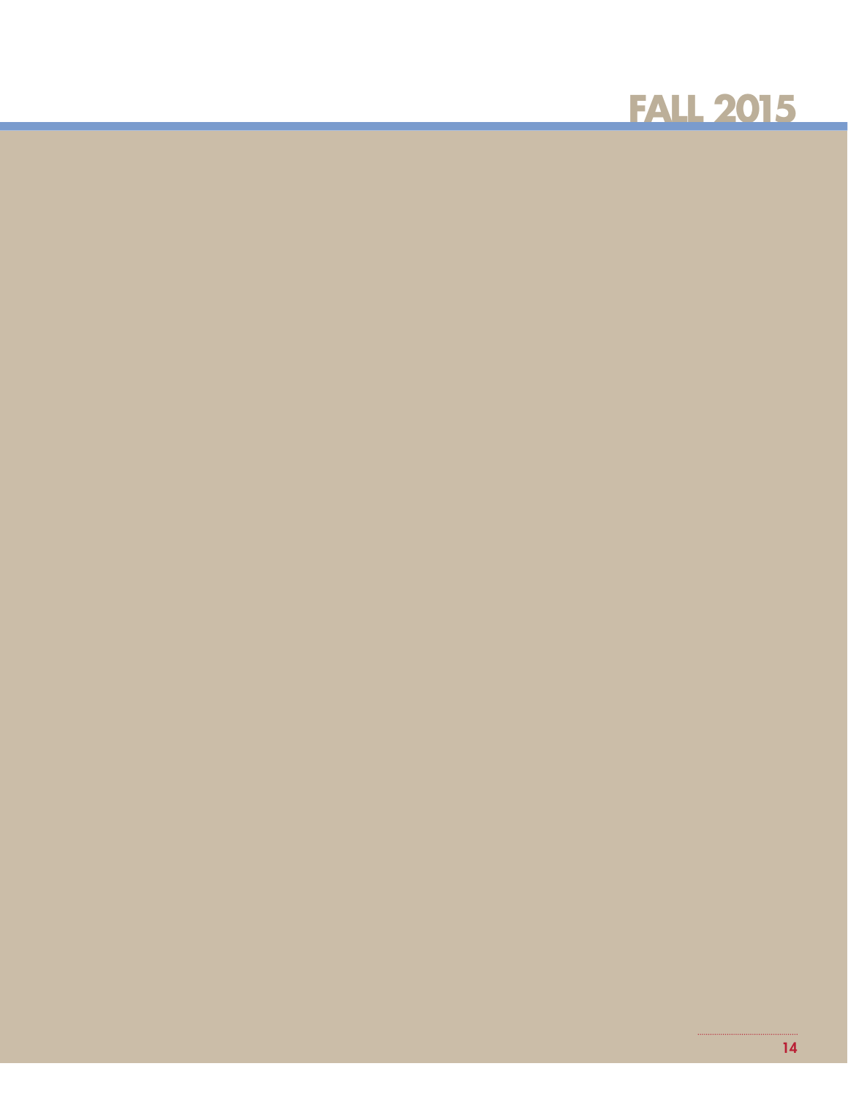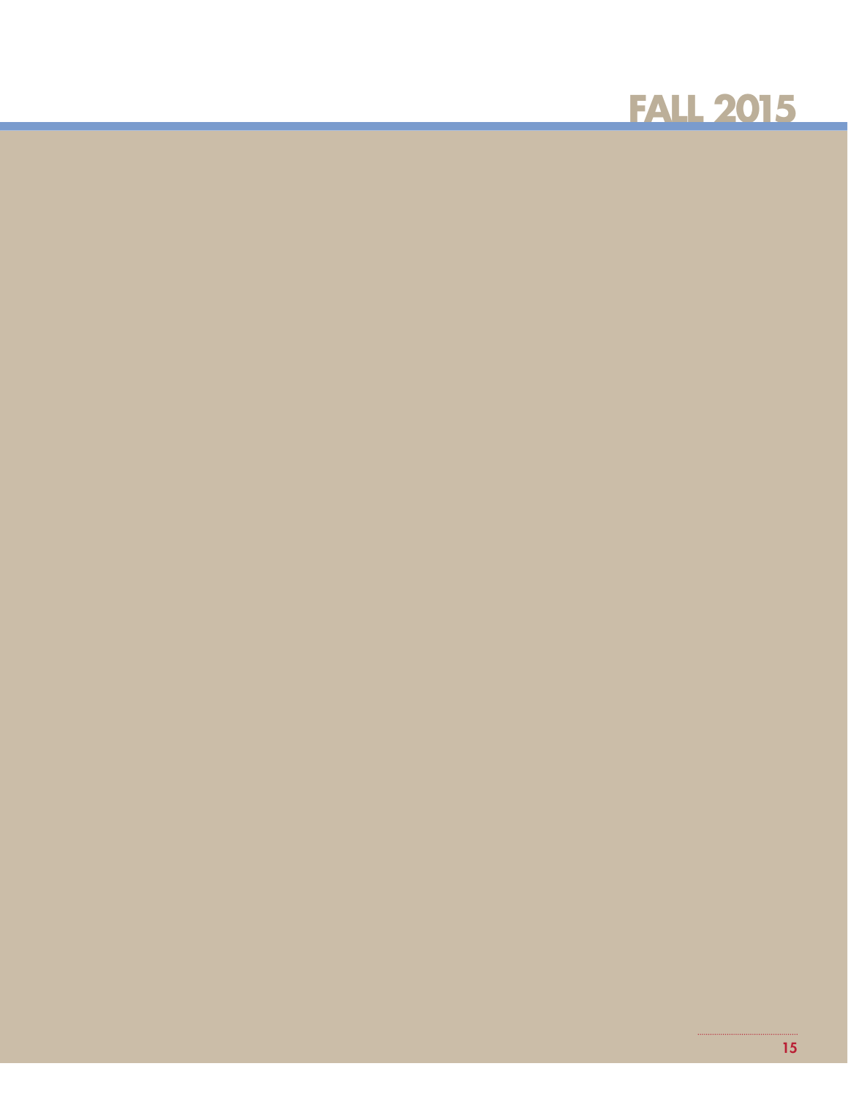